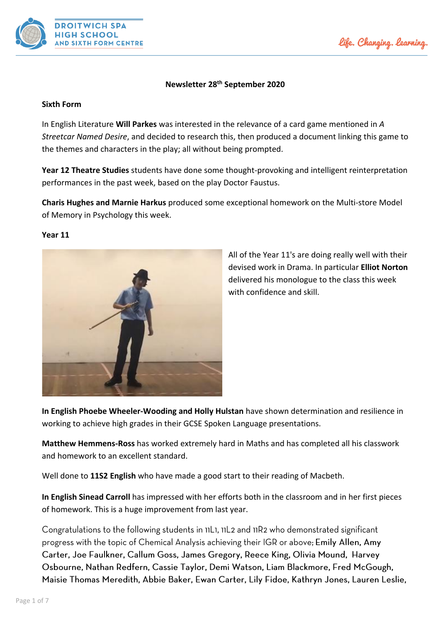



# **Newsletter 28th September 2020**

#### **Sixth Form**

In English Literature **Will Parkes** was interested in the relevance of a card game mentioned in *A Streetcar Named Desire*, and decided to research this, then produced a document linking this game to the themes and characters in the play; all without being prompted.

**Year 12 Theatre Studies** students have done some thought-provoking and intelligent reinterpretation performances in the past week, based on the play Doctor Faustus.

**Charis Hughes and Marnie Harkus** produced some exceptional homework on the Multi-store Model of Memory in Psychology this week.

#### **Year 11**



All of the Year 11's are doing really well with their devised work in Drama. In particular **Elliot Norton** delivered his monologue to the class this week with confidence and skill.

**In English Phoebe Wheeler-Wooding and Holly Hulstan** have shown determination and resilience in working to achieve high grades in their GCSE Spoken Language presentations.

**Matthew Hemmens-Ross** has worked extremely hard in Maths and has completed all his classwork and homework to an excellent standard.

Well done to **11S2 English** who have made a good start to their reading of Macbeth.

**In English Sinead Carroll** has impressed with her efforts both in the classroom and in her first pieces of homework. This is a huge improvement from last year.

Congratulations to the following students in 11L1, 11L2 and 11R2 who demonstrated significant progress with the topic of Chemical Analysis achieving their IGR or above; Emily Allen, Amy Carter, Joe Faulkner, Callum Goss, James Gregory, Reece King, Olivia Mound, Harvey Osbourne, Nathan Redfern, Cassie Taylor, Demi Watson, Liam Blackmore, Fred McGough, Maisie Thomas Meredith, Abbie Baker, Ewan Carter, Lily Fidoe, Kathryn Jones, Lauren Leslie,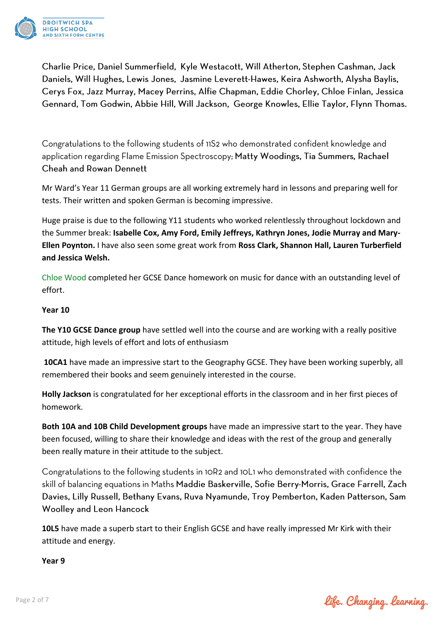

Charlie Price, Daniel Summerfield, Kyle Westacott, Will Atherton, Stephen Cashman, Jack Daniels, Will Hughes, Lewis Jones, Jasmine Leverett-Hawes, Keira Ashworth, Alysha Baylis, Cerys Fox, Jazz Murray, Macey Perrins, Alfie Chapman, Eddie Chorley, Chloe Finlan, Jessica Gennard, Tom Godwin, Abbie Hill, Will Jackson, George Knowles, Ellie Taylor, Flynn Thomas.

Congratulations to the following students of 11S2 who demonstrated confident knowledge and application regarding Flame Emission Spectroscopy; Matty Woodings, Tia Summers, Rachael **Cheah and Rowan Dennett** 

Mr Ward's Year 11 German groups are all working extremely hard in lessons and preparing well for tests. Their written and spoken German is becoming impressive.

Huge praise is due to the following Y11 students who worked relentlessly throughout lockdown and the Summer break: **Isabelle Cox, Amy Ford, Emily Jeffreys, Kathryn Jones, Jodie Murray and Mary-Ellen Poynton.** I have also seen some great work from **Ross Clark, Shannon Hall, Lauren Turberfield and Jessica Welsh.**

Chloe Wood completed her GCSE Dance homework on music for dance with an outstanding level of effort.

# **Year 10**

**The Y10 GCSE Dance group** have settled well into the course and are working with a really positive attitude, high levels of effort and lots of enthusiasm

**10CA1** have made an impressive start to the Geography GCSE. They have been working superbly, all remembered their books and seem genuinely interested in the course.

**Holly Jackson** is congratulated for her exceptional efforts in the classroom and in her first pieces of homework.

**Both 10A and 10B Child Development groups** have made an impressive start to the year. They have been focused, willing to share their knowledge and ideas with the rest of the group and generally been really mature in their attitude to the subject.

Congratulations to the following students in 10R2 and 10L1 who demonstrated with confidence the skill of balancing equations in Maths Maddie Baskerville, Sofie Berry-Morris, Grace Farrell, Zach Davies, Lilly Russell, Bethany Evans, Ruva Nyamunde, Troy Pemberton, Kaden Patterson, Sam **Woolley and Leon Hancock** 

**10L5** have made a superb start to their English GCSE and have really impressed Mr Kirk with their attitude and energy.

**Year 9**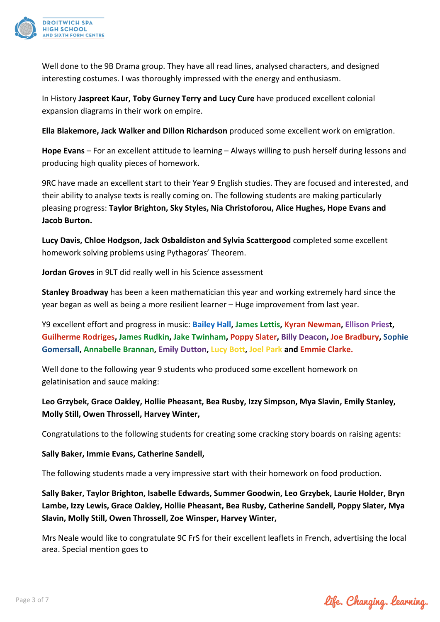

Well done to the 9B Drama group. They have all read lines, analysed characters, and designed interesting costumes. I was thoroughly impressed with the energy and enthusiasm.

In History **Jaspreet Kaur, Toby Gurney Terry and Lucy Cure** have produced excellent colonial expansion diagrams in their work on empire.

**Ella Blakemore, Jack Walker and Dillon Richardson** produced some excellent work on emigration.

**Hope Evans** – For an excellent attitude to learning – Always willing to push herself during lessons and producing high quality pieces of homework.

9RC have made an excellent start to their Year 9 English studies. They are focused and interested, and their ability to analyse texts is really coming on. The following students are making particularly pleasing progress: **Taylor Brighton, Sky Styles, Nia Christoforou, Alice Hughes, Hope Evans and Jacob Burton.**

**Lucy Davis, Chloe Hodgson, Jack Osbaldiston and Sylvia Scattergood** completed some excellent homework solving problems using Pythagoras' Theorem.

**Jordan Groves** in 9LT did really well in his Science assessment

**Stanley Broadway** has been a keen mathematician this year and working extremely hard since the year began as well as being a more resilient learner – Huge improvement from last year.

Y9 excellent effort and progress in music: **Bailey Hall, James Lettis, Kyran Newman, Ellison Priest, Guilherme Rodriges, James Rudkin, Jake Twinham, Poppy Slater, Billy Deacon, Joe Bradbury, Sophie Gomersall, Annabelle Brannan, Emily Dutton, Lucy Bott, Joel Park and Emmie Clarke.**

Well done to the following year 9 students who produced some excellent homework on gelatinisation and sauce making:

# **Leo Grzybek, Grace Oakley, Hollie Pheasant, Bea Rusby, Izzy Simpson, Mya Slavin, Emily Stanley, Molly Still, Owen Throssell, Harvey Winter,**

Congratulations to the following students for creating some cracking story boards on raising agents:

# **Sally Baker, Immie Evans, Catherine Sandell,**

The following students made a very impressive start with their homework on food production.

**Sally Baker, Taylor Brighton, Isabelle Edwards, Summer Goodwin, Leo Grzybek, Laurie Holder, Bryn Lambe, Izzy Lewis, Grace Oakley, Hollie Pheasant, Bea Rusby, Catherine Sandell, Poppy Slater, Mya Slavin, Molly Still, Owen Throssell, Zoe Winsper, Harvey Winter,** 

Mrs Neale would like to congratulate 9C FrS for their excellent leaflets in French, advertising the local area. Special mention goes to

life. Changing. learning.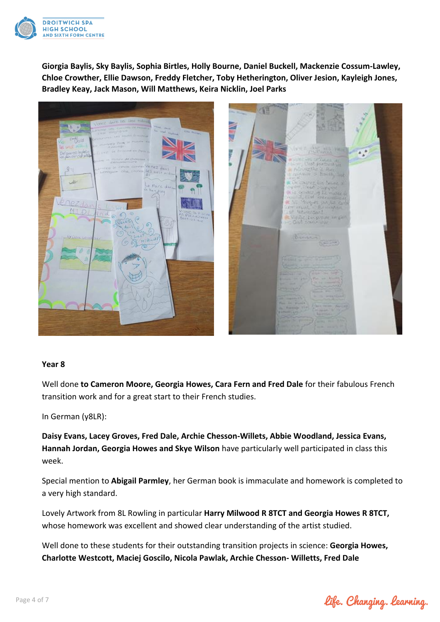

**Giorgia Baylis, Sky Baylis, Sophia Birtles, Holly Bourne, Daniel Buckell, Mackenzie Cossum-Lawley, Chloe Crowther, Ellie Dawson, Freddy Fletcher, Toby Hetherington, Oliver Jesion, Kayleigh Jones, Bradley Keay, Jack Mason, Will Matthews, Keira Nicklin, Joel Parks**





# **Year 8**

Well done **to Cameron Moore, Georgia Howes, Cara Fern and Fred Dale** for their fabulous French transition work and for a great start to their French studies.

In German (y8LR):

**Daisy Evans, Lacey Groves, Fred Dale, Archie Chesson-Willets, Abbie Woodland, Jessica Evans, Hannah Jordan, Georgia Howes and Skye Wilson** have particularly well participated in class this week.

Special mention to **Abigail Parmley**, her German book is immaculate and homework is completed to a very high standard.

Lovely Artwork from 8L Rowling in particular **Harry Milwood R 8TCT and Georgia Howes R 8TCT,** whose homework was excellent and showed clear understanding of the artist studied.

Well done to these students for their outstanding transition projects in science: **Georgia Howes, Charlotte Westcott, Maciej Goscilo, Nicola Pawlak, Archie Chesson- Willetts, Fred Dale**

life. Changing. learning.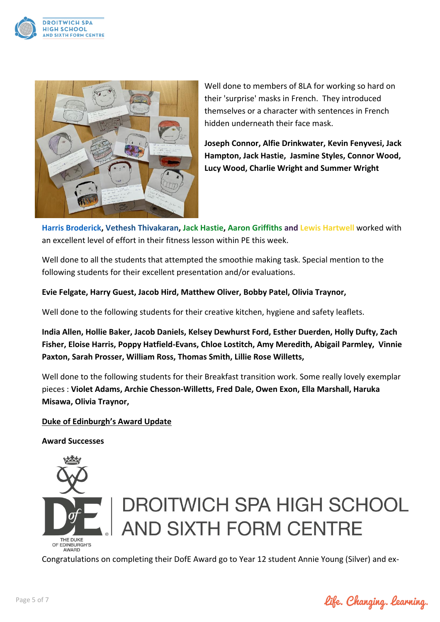



Well done to members of 8LA for working so hard on their 'surprise' masks in French. They introduced themselves or a character with sentences in French hidden underneath their face mask.

**Joseph Connor, Alfie Drinkwater, Kevin Fenyvesi, Jack Hampton, Jack Hastie, Jasmine Styles, Connor Wood, Lucy Wood, Charlie Wright and Summer Wright**

**Harris Broderick, Vethesh Thivakaran, Jack Hastie, Aaron Griffiths and Lewis Hartwell** worked with an excellent level of effort in their fitness lesson within PE this week.

Well done to all the students that attempted the smoothie making task. Special mention to the following students for their excellent presentation and/or evaluations.

**Evie Felgate, Harry Guest, Jacob Hird, Matthew Oliver, Bobby Patel, Olivia Traynor,** 

Well done to the following students for their creative kitchen, hygiene and safety leaflets.

**India Allen, Hollie Baker, Jacob Daniels, Kelsey Dewhurst Ford, Esther Duerden, Holly Dufty, Zach Fisher, Eloise Harris, Poppy Hatfield-Evans, Chloe Lostitch, Amy Meredith, Abigail Parmley, Vinnie Paxton, Sarah Prosser, William Ross, Thomas Smith, Lillie Rose Willetts,** 

Well done to the following students for their Breakfast transition work. Some really lovely exemplar pieces : **Violet Adams, Archie Chesson-Willetts, Fred Dale, Owen Exon, Ella Marshall, Haruka Misawa, Olivia Traynor,** 

# **Duke of Edinburgh's Award Update**

**Award Successes**



# **DROITWICH SPA HIGH SCHOOL** AND SIXTH FORM CENTRE

Congratulations on completing their DofE Award go to Year 12 student Annie Young (Silver) and ex-

life. Changing. learning.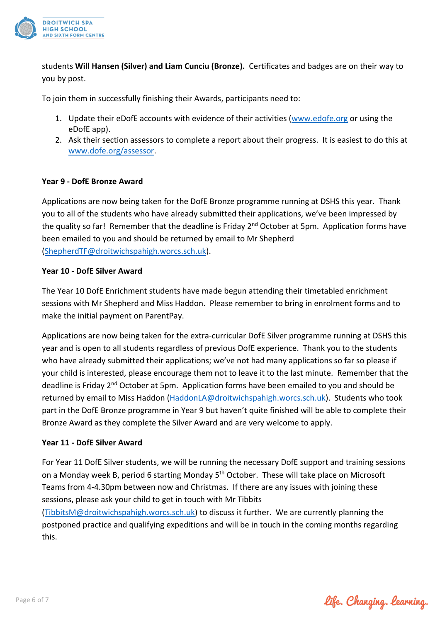

students **Will Hansen (Silver) and Liam Cunciu (Bronze).** Certificates and badges are on their way to you by post.

To join them in successfully finishing their Awards, participants need to:

- 1. Update their eDofE accounts with evidence of their activities [\(www.edofe.org](http://www.edofe.org/) or using the eDofE app).
- 2. Ask their section assessors to complete a report about their progress. It is easiest to do this at [www.dofe.org/assessor.](http://www.dofe.org/assessor)

# **Year 9 - DofE Bronze Award**

Applications are now being taken for the DofE Bronze programme running at DSHS this year. Thank you to all of the students who have already submitted their applications, we've been impressed by the quality so far! Remember that the deadline is Friday 2<sup>nd</sup> October at 5pm. Application forms have been emailed to you and should be returned by email to Mr Shepherd [\(ShepherdTF@droitwichspahigh.worcs.sch.uk\)](mailto:ShepherdTF@droitwichspahigh.worcs.sch.uk).

# **Year 10 - DofE Silver Award**

The Year 10 DofE Enrichment students have made begun attending their timetabled enrichment sessions with Mr Shepherd and Miss Haddon. Please remember to bring in enrolment forms and to make the initial payment on ParentPay.

Applications are now being taken for the extra-curricular DofE Silver programme running at DSHS this year and is open to all students regardless of previous DofE experience. Thank you to the students who have already submitted their applications; we've not had many applications so far so please if your child is interested, please encourage them not to leave it to the last minute. Remember that the deadline is Friday 2<sup>nd</sup> October at 5pm. Application forms have been emailed to you and should be returned by email to Miss Haddon [\(HaddonLA@droitwichspahigh.worcs.sch.uk\)](mailto:HaddonLA@droitwichspahigh.worcs.sch.uk). Students who took part in the DofE Bronze programme in Year 9 but haven't quite finished will be able to complete their Bronze Award as they complete the Silver Award and are very welcome to apply.

# **Year 11 - DofE Silver Award**

For Year 11 DofE Silver students, we will be running the necessary DofE support and training sessions on a Monday week B, period 6 starting Monday 5<sup>th</sup> October. These will take place on Microsoft Teams from 4-4.30pm between now and Christmas. If there are any issues with joining these sessions, please ask your child to get in touch with Mr Tibbits

[\(TibbitsM@droitwichspahigh.worcs.sch.uk\)](mailto:TibbitsM@droitwichspahigh.worcs.sch.uk) to discuss it further. We are currently planning the postponed practice and qualifying expeditions and will be in touch in the coming months regarding this.

life. Changing. learning.